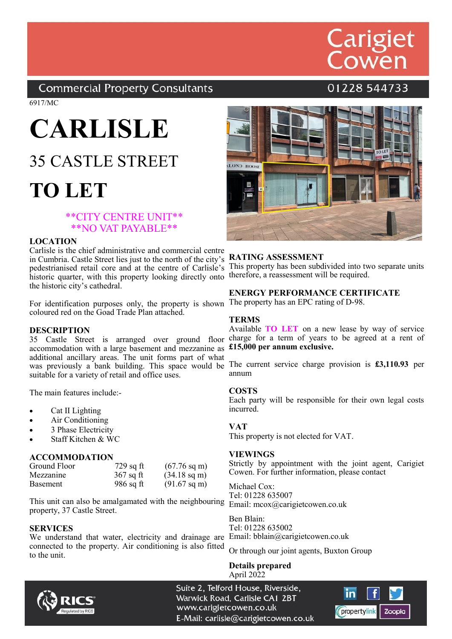## Carigiet<br>Cowen

**Commercial Property Consultants** 

01228 544733

6917/MC

### **CARLISLE**

### 35 CASTLE STREET **TO LET**

#### \*\*CITY CENTRE UNIT\*\* \*\*NO VAT PAYABLE\*\*

#### **LOCATION**

Carlisle is the chief administrative and commercial centre in Cumbria. Castle Street lies just to the north of the city's pedestrianised retail core and at the centre of Carlisle's historic quarter, with this property looking directly onto the historic city's cathedral.

For identification purposes only, the property is shown The property has an EPC rating of D-98. coloured red on the Goad Trade Plan attached.

#### **DESCRIPTION**

accommodation with a large basement and mezzanine as £15,000 per annum exclusive. additional ancillary areas. The unit forms part of what suitable for a variety of retail and office uses.

The main features include:-

- Cat II Lighting
- Air Conditioning
- 3 Phase Electricity
- Staff Kitchen & WC

#### **ACCOMMODATION**

| Ground Floor    | $729$ sq ft | $(67.76 \text{ sq m})$ |
|-----------------|-------------|------------------------|
| Mezzanine       | $367$ sq ft | $(34.18 \text{ sq m})$ |
| <b>Basement</b> | $986$ sq ft | $(91.67 \text{ sq m})$ |

This unit can also be amalgamated with the neighbouring property, 37 Castle Street.

#### **SERVICES**

We understand that water, electricity and drainage are Email: bblain@carigietcowen.co.uk connected to the property. Air conditioning is also fitted to the unit.



#### **RATING ASSESSMENT**

This property has been subdivided into two separate units therefore, a reassessment will be required.

#### **ENERGY PERFORMANCE CERTIFICATE**

#### **TERMS**

Available **TO LET** on a new lease by way of service 35 Castle Street is arranged over ground floor charge for a term of years to be agreed at a rent of

was previously a bank building. This space would be The current service charge provision is **£3,110.93** per annum

#### **COSTS**

Each party will be responsible for their own legal costs incurred.

#### **VAT**

This property is not elected for VAT.

#### **VIEWINGS**

Strictly by appointment with the joint agent, Carigiet Cowen. For further information, please contact

Michael Cox: Tel: 01228 635007 Email: mcox@carigietcowen.co.uk

Ben Blain: Tel: 01228 635002

Or through our joint agents, Buxton Group

**Details prepared** April 2022



Suite 2, Telford House, Riverside, Warwick Road, Carlisle CA1 2BT www.carigietcowen.co.uk E-Mail: carlisle@carigietcowen.co.uk